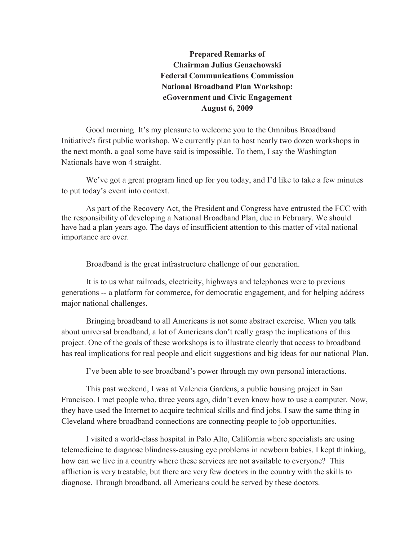**Prepared Remarks of Chairman Julius Genachowski Federal Communications Commission National Broadband Plan Workshop: eGovernment and Civic Engagement August 6, 2009**

Good morning. It's my pleasure to welcome you to the Omnibus Broadband Initiative's first public workshop. We currently plan to host nearly two dozen workshops in the next month, a goal some have said is impossible. To them, I say the Washington Nationals have won 4 straight.

We've got a great program lined up for you today, and I'd like to take a few minutes to put today's event into context.

As part of the Recovery Act, the President and Congress have entrusted the FCC with the responsibility of developing a National Broadband Plan, due in February. We should have had a plan years ago. The days of insufficient attention to this matter of vital national importance are over.

Broadband is the great infrastructure challenge of our generation.

It is to us what railroads, electricity, highways and telephones were to previous generations -- a platform for commerce, for democratic engagement, and for helping address major national challenges.

Bringing broadband to all Americans is not some abstract exercise. When you talk about universal broadband, a lot of Americans don't really grasp the implications of this project. One of the goals of these workshops is to illustrate clearly that access to broadband has real implications for real people and elicit suggestions and big ideas for our national Plan.

I've been able to see broadband's power through my own personal interactions.

This past weekend, I was at Valencia Gardens, a public housing project in San Francisco. I met people who, three years ago, didn't even know how to use a computer. Now, they have used the Internet to acquire technical skills and find jobs. I saw the same thing in Cleveland where broadband connections are connecting people to job opportunities.

I visited a world-class hospital in Palo Alto, California where specialists are using telemedicine to diagnose blindness-causing eye problems in newborn babies. I kept thinking, how can we live in a country where these services are not available to everyone? This affliction is very treatable, but there are very few doctors in the country with the skills to diagnose. Through broadband, all Americans could be served by these doctors.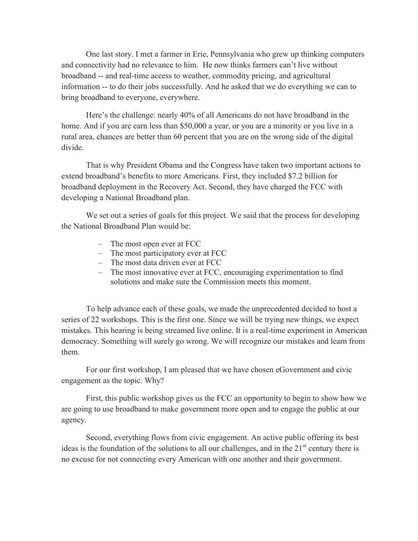One last story. I met a farmer in Erie, Pennsylvania who grew up thinking computers and connectivity had no relevance to him. He now thinks farmers can't live without broadband -- and real-time access to weather, commodity pricing, and agricultural information -- to do their jobs successfully. And he asked that we do everything we can to bring broadband to everyone, everywhere.

Here's the challenge: nearly 40% of all Americans do not have broadband in the home. And if you are earn less than \$50,000 a year, or you are a minority or you live in a rural area, chances are better than 60 percent that you are on the wrong side of the digital divide.

That is why President Obama and the Congress have taken two important actions to extend broadband's benefits to more Americans. First, they included \$7.2 billion for broadband deployment in the Recovery Act. Second, they have charged the FCC with developing a National Broadband plan.

We set out a series of goals for this project. We said that the process for developing the National Broadband Plan would be:

- The most open ever at FCC
- The most participatory ever at FCC
- The most data driven ever at FCC
- The most innovative ever at FCC, encouraging experimentation to find solutions and make sure the Commission meets this moment.

To help advance each of these goals, we made the unprecedented decided to host a series of 22 workshops. This is the first one. Since we will be trying new things, we expect mistakes. This hearing is being streamed live online. It is a real-time experiment in American democracy. Something will surely go wrong. We will recognize our mistakes and learn from them.

For our first workshop, I am pleased that we have chosen eGovernment and civic engagement as the topic. Why?

First, this public workshop gives us the FCC an opportunity to begin to show how we are going to use broadband to make government more open and to engage the public at our agency.

Second, everything flows from civic engagement. An active public offering its best ideas is the foundation of the solutions to all our challenges, and in the  $21<sup>st</sup>$  century there is no excuse for not connecting every American with one another and their government.